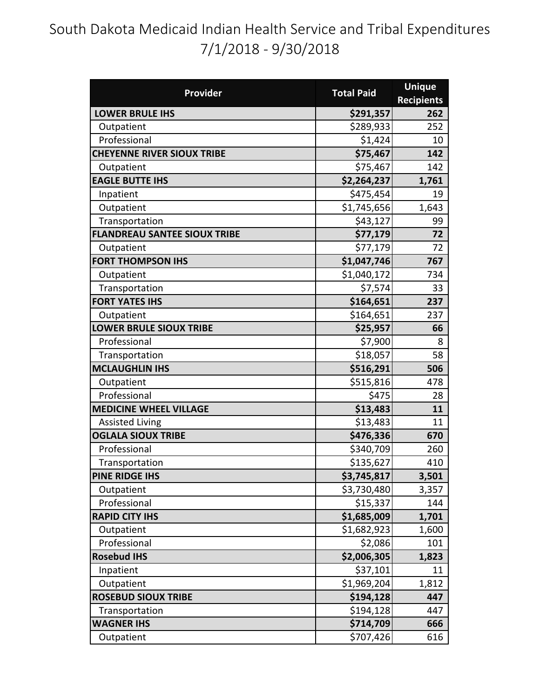## South Dakota Medicaid Indian Health Service and Tribal Expenditures 7/1/2018 - 9/30/2018

| Provider                            | <b>Total Paid</b> | <b>Unique</b>     |
|-------------------------------------|-------------------|-------------------|
|                                     |                   | <b>Recipients</b> |
| <b>LOWER BRULE IHS</b>              | \$291,357         | 262               |
| Outpatient                          | \$289,933         | 252               |
| Professional                        | \$1,424           | 10                |
| <b>CHEYENNE RIVER SIOUX TRIBE</b>   | \$75,467          | 142               |
| Outpatient                          | \$75,467          | 142               |
| <b>EAGLE BUTTE IHS</b>              | \$2,264,237       | 1,761             |
| Inpatient                           | \$475,454         | 19                |
| Outpatient                          | \$1,745,656       | 1,643             |
| Transportation                      | \$43,127          | 99                |
| <b>FLANDREAU SANTEE SIOUX TRIBE</b> | \$77,179          | 72                |
| Outpatient                          | \$77,179          | 72                |
| <b>FORT THOMPSON IHS</b>            | \$1,047,746       | 767               |
| Outpatient                          | \$1,040,172       | 734               |
| Transportation                      | \$7,574           | 33                |
| <b>FORT YATES IHS</b>               | \$164,651         | 237               |
| Outpatient                          | \$164,651         | 237               |
| <b>LOWER BRULE SIOUX TRIBE</b>      | \$25,957          | 66                |
| Professional                        | \$7,900           | 8                 |
| Transportation                      | \$18,057          | 58                |
| <b>MCLAUGHLIN IHS</b>               | \$516,291         | 506               |
| Outpatient                          | \$515,816         | 478               |
| Professional                        | \$475             | 28                |
| <b>MEDICINE WHEEL VILLAGE</b>       | \$13,483          | 11                |
| <b>Assisted Living</b>              | \$13,483          | 11                |
| <b>OGLALA SIOUX TRIBE</b>           | \$476,336         | 670               |
| Professional                        | \$340,709         | 260               |
| Transportation                      | \$135,627         | 410               |
| PINE RIDGE IHS                      | \$3,745,817       | 3,501             |
| Outpatient                          | \$3,730,480       | 3,357             |
| Professional                        | \$15,337          | 144               |
| <b>RAPID CITY IHS</b>               | \$1,685,009       | 1,701             |
| Outpatient                          | \$1,682,923       | 1,600             |
| Professional                        | \$2,086           | 101               |
| <b>Rosebud IHS</b>                  | \$2,006,305       | 1,823             |
| Inpatient                           | \$37,101          | 11                |
| Outpatient                          | \$1,969,204       | 1,812             |
| <b>ROSEBUD SIOUX TRIBE</b>          | \$194,128         | 447               |
| Transportation                      | \$194,128         | 447               |
| <b>WAGNER IHS</b>                   | \$714,709         | 666               |
| Outpatient                          | \$707,426         | 616               |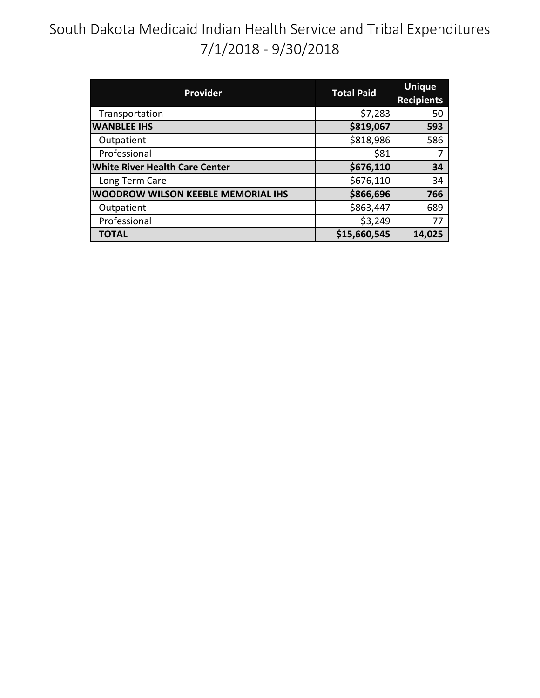# South Dakota Medicaid Indian Health Service and Tribal Expenditures 7/1/2018 - 9/30/2018

| <b>Provider</b>                           | <b>Total Paid</b> | <b>Unique</b><br><b>Recipients</b> |
|-------------------------------------------|-------------------|------------------------------------|
| Transportation                            | \$7,283           | 50                                 |
| <b>WANBLEE IHS</b>                        | \$819,067         | 593                                |
| Outpatient                                | \$818,986         | 586                                |
| Professional                              | \$81              |                                    |
| <b>White River Health Care Center</b>     | \$676,110         | 34                                 |
| Long Term Care                            | \$676,110         | 34                                 |
| <b>WOODROW WILSON KEEBLE MEMORIAL IHS</b> | \$866,696         | 766                                |
| Outpatient                                | \$863,447         | 689                                |
| Professional                              | \$3,249           | 77                                 |
| <b>TOTAL</b>                              | \$15,660,545      | 14,025                             |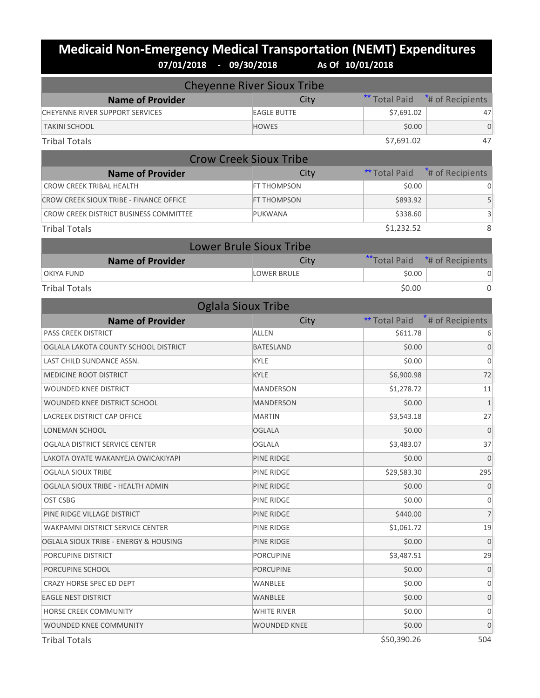#### **Medicaid Non-Emergency Medical Transportation (NEMT) Expenditures 07/01/2018 - 09/30/2018 As Of 10/01/2018**

| <b>Cheyenne River Sioux Tribe</b>       |                                |                      |                              |
|-----------------------------------------|--------------------------------|----------------------|------------------------------|
| <b>Name of Provider</b>                 | City                           | <b>Total Paid</b>    | <sup>*</sup> # of Recipients |
| CHEYENNE RIVER SUPPORT SERVICES         | <b>EAGLE BUTTE</b>             | \$7,691.02           | 47                           |
| <b>TAKINI SCHOOL</b>                    | <b>HOWES</b>                   | \$0.00               | $\Omega$                     |
| <b>Tribal Totals</b>                    |                                | \$7,691.02           | 47                           |
| <b>Crow Creek Sioux Tribe</b>           |                                |                      |                              |
| <b>Name of Provider</b>                 | City                           | <b>** Total Paid</b> | # of Recipients              |
| <b>CROW CREEK TRIBAL HEALTH</b>         | FT THOMPSON                    | \$0.00               |                              |
| CROW CREEK SIOUX TRIBE - FINANCE OFFICE | <b>FT THOMPSON</b>             | \$893.92             | 5                            |
| CROW CREEK DISTRICT BUSINESS COMMITTEE  | PUKWANA                        | \$338.60             | 3                            |
| <b>Tribal Totals</b>                    |                                | \$1,232.52           | 8                            |
|                                         | <b>Lower Brule Sioux Tribe</b> |                      |                              |
| <b>Name of Provider</b>                 | City                           | ** Total Paid        | *# of Recipients             |
| <b>OKIYA FUND</b>                       | <b>LOWER BRULE</b>             | \$0.00               | 0                            |
| <b>Tribal Totals</b>                    |                                | \$0.00               | $\Omega$                     |
| <b>Oglala Sioux Tribe</b>               |                                |                      |                              |
| <b>Name of Provider</b>                 | City                           | ** Total Paid        | # of Recipients              |
| PASS CREEK DISTRICT                     | ALLEN                          | \$611.78             |                              |
| OGLALA LAKOTA COUNTY SCHOOL DISTRICT    | <b>BATESLAND</b>               | \$0.00               | $\overline{0}$               |
| LAST CHILD SUNDANCE ASSN.               | KYLE                           | \$0.00               | $\overline{0}$               |
| <b>MEDICINE ROOT DISTRICT</b>           | <b>KYLE</b>                    | \$6,900.98           | 72                           |
| <b>WOUNDED KNEE DISTRICT</b>            | MANDERSON                      | \$1,278.72           | 11                           |
| WOUNDED KNEE DISTRICT SCHOOL            | <b>MANDERSON</b>               | \$0.00               | $\mathbf{1}$                 |
| LACREEK DISTRICT CAP OFFICE             | <b>MARTIN</b>                  | \$3,543.18           | 27                           |
| LONEMAN SCHOOL                          | OGLALA                         | \$0.00               | $\overline{0}$               |
| OGLALA DISTRICT SERVICE CENTER          | <b>OGLALA</b>                  | \$3,483.07           | 37                           |
| LAKOTA OYATE WAKANYEJA OWICAKIYAPI      | <b>PINE RIDGE</b>              | \$0.00               | $\overline{0}$               |
| <b>OGLALA SIOUX TRIBE</b>               | PINE RIDGE                     | \$29,583.30          | 295                          |
| OGLALA SIOUX TRIBE - HEALTH ADMIN       | PINE RIDGE                     | \$0.00               | $\overline{0}$               |
| OST CSBG                                | PINE RIDGE                     | \$0.00               | 0                            |
| PINE RIDGE VILLAGE DISTRICT             | PINE RIDGE                     | \$440.00             | 7                            |
| WAKPAMNI DISTRICT SERVICE CENTER        | PINE RIDGE                     | \$1,061.72           | 19                           |
| OGLALA SIOUX TRIBE - ENERGY & HOUSING   | PINE RIDGE                     | \$0.00               | $\mathbf 0$                  |
| PORCUPINE DISTRICT                      | <b>PORCUPINE</b>               | \$3,487.51           | 29                           |
| PORCUPINE SCHOOL                        | PORCUPINE                      | \$0.00               | $\overline{0}$               |
| CRAZY HORSE SPEC ED DEPT                | WANBLEE                        | \$0.00               | 0                            |
| <b>EAGLE NEST DISTRICT</b>              | WANBLEE                        | \$0.00               | $\mathbf 0$                  |
| HORSE CREEK COMMUNITY                   | WHITE RIVER                    | \$0.00               | 0                            |
| WOUNDED KNEE COMMUNITY                  | WOUNDED KNEE                   | \$0.00               | $\mathbf 0$                  |

Tribal Totals \$50,390.26 504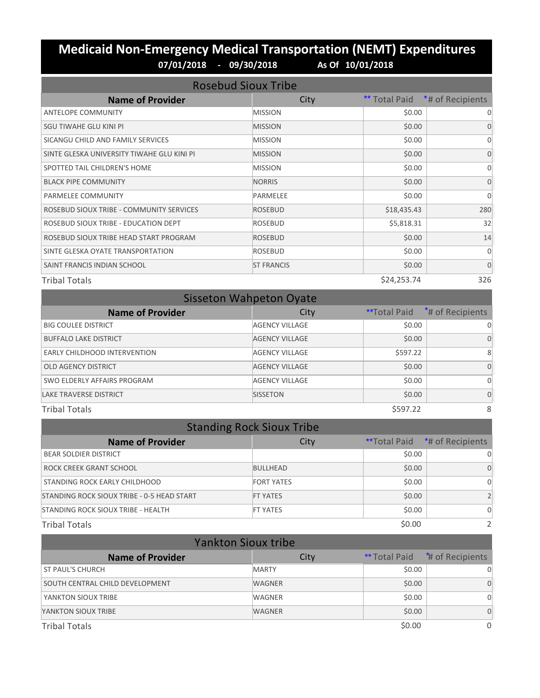#### **Medicaid Non-Emergency Medical Transportation (NEMT) Expenditures 07/01/2018 - 09/30/2018 As Of 10/01/2018**

| <b>Rosebud Sioux Tribe</b>                 |                   |               |                  |
|--------------------------------------------|-------------------|---------------|------------------|
| <b>Name of Provider</b>                    | City              | ** Total Paid | *# of Recipients |
| <b>ANTELOPE COMMUNITY</b>                  | <b>MISSION</b>    | \$0.00        | $\Omega$         |
| SGU TIWAHE GLU KINI PI                     | <b>MISSION</b>    | \$0.00        | $\Omega$         |
| SICANGU CHILD AND FAMILY SERVICES          | <b>MISSION</b>    | \$0.00        | 0                |
| SINTE GLESKA UNIVERSITY TIWAHE GLU KINI PI | <b>MISSION</b>    | \$0.00        | $\Omega$         |
| SPOTTED TAIL CHILDREN'S HOME               | <b>MISSION</b>    | \$0.00        | $\Omega$         |
| <b>BLACK PIPE COMMUNITY</b>                | <b>NORRIS</b>     | \$0.00        | $\Omega$         |
| PARMELEE COMMUNITY                         | PARMELEE          | \$0.00        | $\Omega$         |
| ROSEBUD SIOUX TRIBE - COMMUNITY SERVICES   | <b>ROSEBUD</b>    | \$18,435.43   | 280              |
| ROSEBUD SIOUX TRIBE - EDUCATION DEPT       | <b>ROSEBUD</b>    | \$5,818.31    | 32               |
| ROSEBUD SIOUX TRIBE HEAD START PROGRAM     | <b>ROSEBUD</b>    | \$0.00        | 14               |
| SINTE GLESKA OYATE TRANSPORTATION          | ROSEBUD           | \$0.00        | $\Omega$         |
| SAINT FRANCIS INDIAN SCHOOL                | <b>ST FRANCIS</b> | \$0.00        | $\mathbf{0}$     |
| <b>Tribal Totals</b>                       |                   | \$24,253.74   | 326              |

| <b>Sisseton Wahpeton Oyate</b> |                       |                     |                              |
|--------------------------------|-----------------------|---------------------|------------------------------|
| <b>Name of Provider</b>        | City                  | <b>**Total Paid</b> | <sup>*</sup> # of Recipients |
| <b>BIG COULEE DISTRICT</b>     | <b>AGENCY VILLAGE</b> | \$0.00              | Ω                            |
| <b>BUFFALO LAKE DISTRICT</b>   | <b>AGENCY VILLAGE</b> | \$0.00              | $\Omega$                     |
| EARLY CHILDHOOD INTERVENTION   | <b>AGENCY VILLAGE</b> | \$597.22            | 8                            |
| <b>OLD AGENCY DISTRICT</b>     | <b>AGENCY VILLAGE</b> | \$0.00              | $\Omega$                     |
| SWO ELDERLY AFFAIRS PROGRAM    | <b>AGENCY VILLAGE</b> | \$0.00              | 0                            |
| <b>LAKE TRAVERSE DISTRICT</b>  | <b>SISSETON</b>       | \$0.00              | $\Omega$                     |
| <b>Tribal Totals</b>           |                       | \$597.22            | 8                            |

| <b>Standing Rock Sioux Tribe</b>           |                   |        |                                |
|--------------------------------------------|-------------------|--------|--------------------------------|
| <b>Name of Provider</b>                    | City              |        | ** Total Paid *# of Recipients |
| <b>BEAR SOLDIER DISTRICT</b>               |                   | \$0.00 |                                |
| ROCK CREEK GRANT SCHOOL                    | <b>BULLHEAD</b>   | \$0.00 | 0                              |
| STANDING ROCK EARLY CHILDHOOD              | <b>FORT YATES</b> | \$0.00 | 0                              |
| STANDING ROCK SIOUX TRIBE - 0-5 HEAD START | <b>FT YATES</b>   | \$0.00 |                                |
| STANDING ROCK SIOUX TRIBE - HEALTH         | <b>FT YATES</b>   | \$0.00 | 0                              |
| <b>Tribal Totals</b>                       |                   | \$0.00 |                                |

| <b>Yankton Sioux tribe</b>      |               |        |                                                   |
|---------------------------------|---------------|--------|---------------------------------------------------|
| <b>Name of Provider</b>         | City          |        | <b>**</b> Total Paid <sup>*</sup> # of Recipients |
| <b>ST PAUL'S CHURCH</b>         | <b>MARTY</b>  | \$0.00 |                                                   |
| SOUTH CENTRAL CHILD DEVELOPMENT | <b>WAGNER</b> | \$0.00 | $\Omega$                                          |
| YANKTON SIOUX TRIBE             | <b>WAGNER</b> | \$0.00 | 0                                                 |
| YANKTON SIOUX TRIBE             | <b>WAGNER</b> | \$0.00 | $\Omega$                                          |
| <b>Tribal Totals</b>            |               | \$0.00 | $\Omega$                                          |